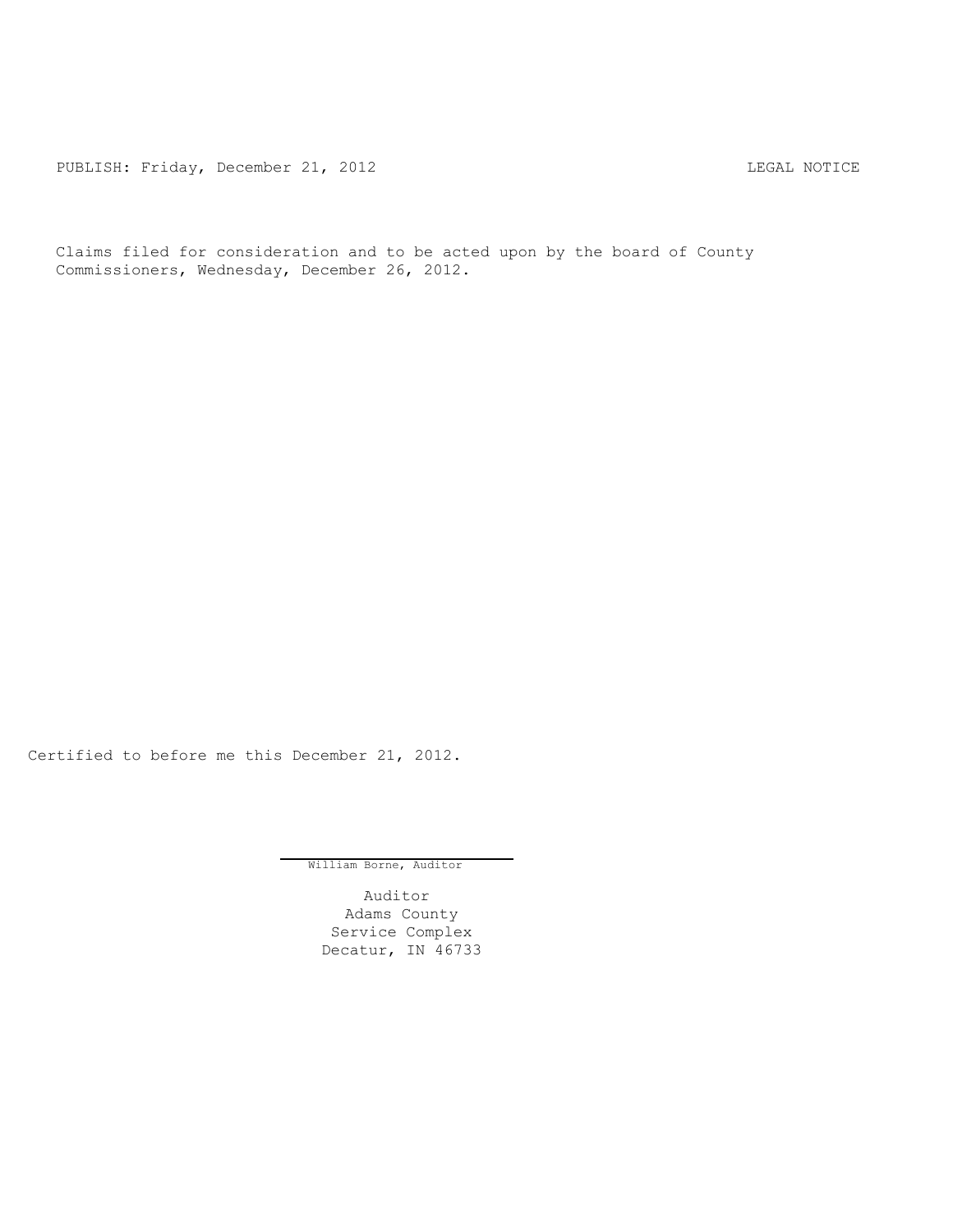PUBLISH: Friday, December 21, 2012 CHA CHARL MOTICE

Claims filed for consideration and to be acted upon by the board of County Commissioners, Wednesday, December 26, 2012.

Certified to before me this December 21, 2012.

William Borne, Auditor

Auditor Adams County Service Complex Decatur, IN 46733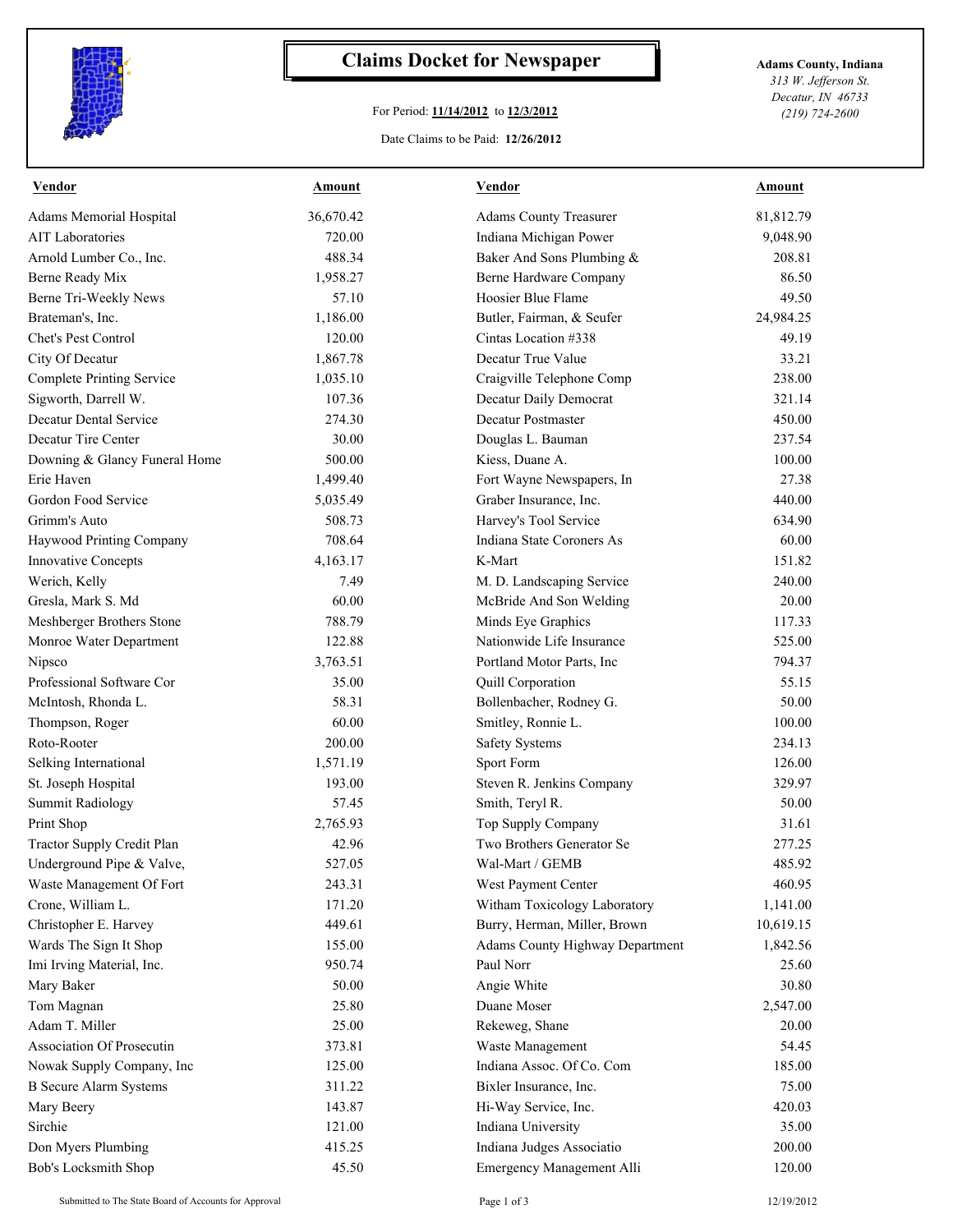

## **Claims Docket for Newspaper Adams County, Indiana**

## For Period: **11/14/2012** to **12/3/2012**

*313 W. Jefferson St. Decatur, IN 46733 (219) 724-2600*

## Date Claims to be Paid: **12/26/2012**

| <b>Vendor</b>                    | <b>Amount</b> | <u>Vendor</u>                   | <u>Amount</u> |
|----------------------------------|---------------|---------------------------------|---------------|
| Adams Memorial Hospital          | 36,670.42     | <b>Adams County Treasurer</b>   | 81,812.79     |
| <b>AIT Laboratories</b>          | 720.00        | Indiana Michigan Power          | 9,048.90      |
| Arnold Lumber Co., Inc.          | 488.34        | Baker And Sons Plumbing &       | 208.81        |
| Berne Ready Mix                  | 1,958.27      | Berne Hardware Company          | 86.50         |
| Berne Tri-Weekly News            | 57.10         | Hoosier Blue Flame              | 49.50         |
| Brateman's, Inc.                 | 1,186.00      | Butler, Fairman, & Seufer       | 24,984.25     |
| Chet's Pest Control              | 120.00        | Cintas Location #338            | 49.19         |
| City Of Decatur                  | 1,867.78      | Decatur True Value              | 33.21         |
| <b>Complete Printing Service</b> | 1,035.10      | Craigville Telephone Comp       | 238.00        |
| Sigworth, Darrell W.             | 107.36        | Decatur Daily Democrat          | 321.14        |
| Decatur Dental Service           | 274.30        | Decatur Postmaster              | 450.00        |
| Decatur Tire Center              | 30.00         | Douglas L. Bauman               | 237.54        |
| Downing & Glancy Funeral Home    | 500.00        | Kiess, Duane A.                 | 100.00        |
| Erie Haven                       | 1,499.40      | Fort Wayne Newspapers, In       | 27.38         |
| Gordon Food Service              | 5,035.49      | Graber Insurance, Inc.          | 440.00        |
| Grimm's Auto                     | 508.73        | Harvey's Tool Service           | 634.90        |
| Haywood Printing Company         | 708.64        | Indiana State Coroners As       | 60.00         |
| <b>Innovative Concepts</b>       | 4,163.17      | K-Mart                          | 151.82        |
| Werich, Kelly                    | 7.49          | M. D. Landscaping Service       | 240.00        |
| Gresla, Mark S. Md               | 60.00         | McBride And Son Welding         | 20.00         |
| Meshberger Brothers Stone        | 788.79        | Minds Eye Graphics              | 117.33        |
| Monroe Water Department          | 122.88        | Nationwide Life Insurance       | 525.00        |
| Nipsco                           | 3,763.51      | Portland Motor Parts, Inc.      | 794.37        |
| Professional Software Cor        | 35.00         | Quill Corporation               | 55.15         |
| McIntosh, Rhonda L.              | 58.31         | Bollenbacher, Rodney G.         | 50.00         |
| Thompson, Roger                  | 60.00         | Smitley, Ronnie L.              | 100.00        |
| Roto-Rooter                      | 200.00        | <b>Safety Systems</b>           | 234.13        |
| Selking International            | 1,571.19      | Sport Form                      | 126.00        |
| St. Joseph Hospital              | 193.00        | Steven R. Jenkins Company       | 329.97        |
| <b>Summit Radiology</b>          | 57.45         | Smith, Teryl R.                 | 50.00         |
| Print Shop                       | 2,765.93      | Top Supply Company              | 31.61         |
| Tractor Supply Credit Plan       | 42.96         | Two Brothers Generator Se       | 277.25        |
| Underground Pipe & Valve,        | 527.05        | Wal-Mart / GEMB                 | 485.92        |
| Waste Management Of Fort         | 243.31        | West Payment Center             | 460.95        |
| Crone, William L.                | 171.20        | Witham Toxicology Laboratory    | 1,141.00      |
| Christopher E. Harvey            | 449.61        | Burry, Herman, Miller, Brown    | 10,619.15     |
| Wards The Sign It Shop           | 155.00        | Adams County Highway Department | 1,842.56      |
| Imi Irving Material, Inc.        | 950.74        | Paul Norr                       | 25.60         |
| Mary Baker                       | 50.00         | Angie White                     | 30.80         |
| Tom Magnan                       | 25.80         | Duane Moser                     | 2,547.00      |
| Adam T. Miller                   | 25.00         | Rekeweg, Shane                  | 20.00         |
| Association Of Prosecutin        | 373.81        | Waste Management                | 54.45         |
| Nowak Supply Company, Inc        | 125.00        | Indiana Assoc. Of Co. Com       | 185.00        |
|                                  |               |                                 |               |
| <b>B</b> Secure Alarm Systems    | 311.22        | Bixler Insurance, Inc.          | 75.00         |
| Mary Beery                       | 143.87        | Hi-Way Service, Inc.            | 420.03        |
| Sirchie                          | 121.00        | Indiana University              | 35.00         |
| Don Myers Plumbing               | 415.25        | Indiana Judges Associatio       | 200.00        |
| Bob's Locksmith Shop             | 45.50         | Emergency Management Alli       | 120.00        |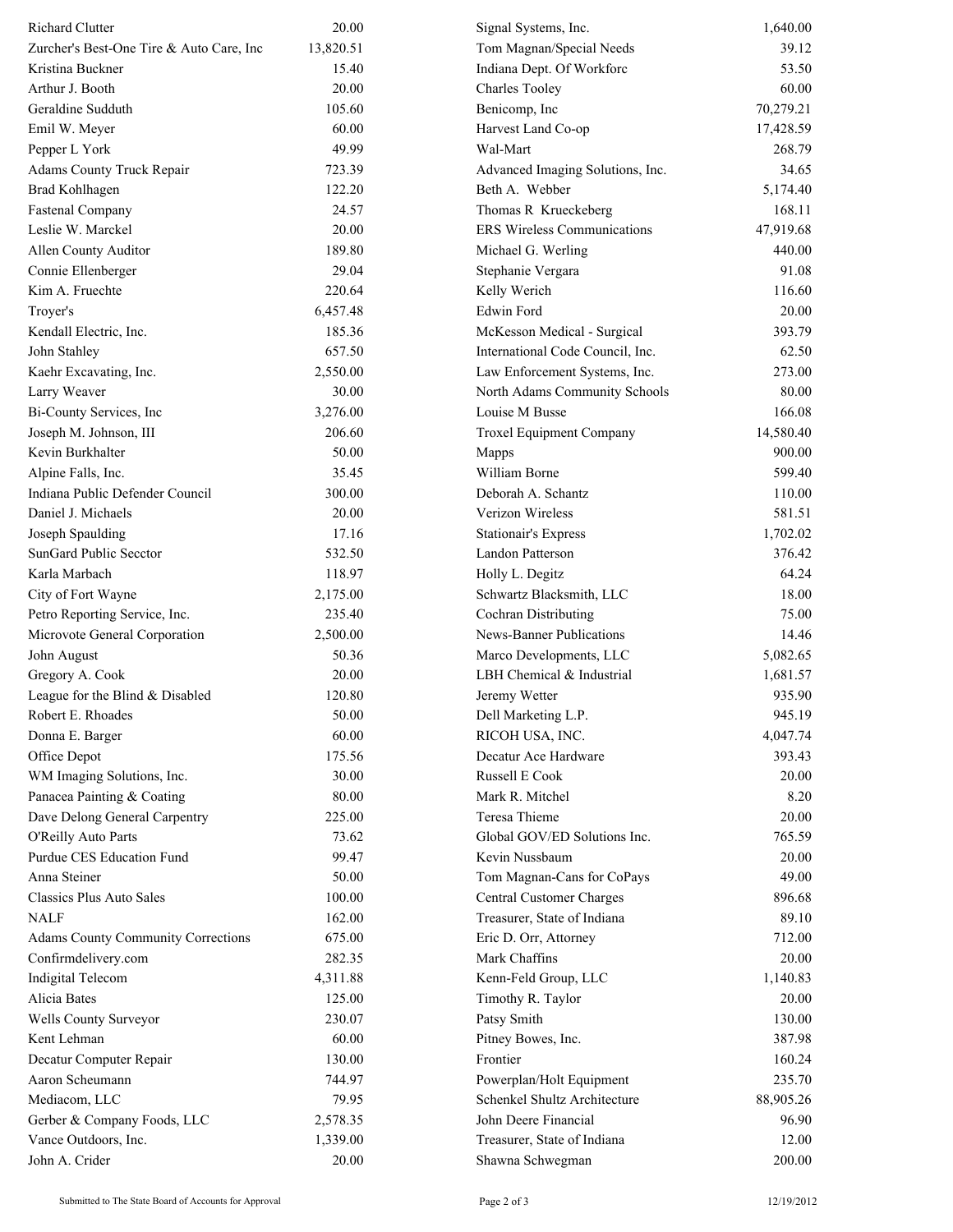| <b>Richard Clutter</b>                    | 20.00     | Signal Systems, Inc.               | 1,640.00  |
|-------------------------------------------|-----------|------------------------------------|-----------|
| Zurcher's Best-One Tire & Auto Care, Inc  | 13,820.51 | Tom Magnan/Special Needs           | 39.12     |
| Kristina Buckner                          | 15.40     | Indiana Dept. Of Workforc          | 53.50     |
| Arthur J. Booth                           | 20.00     | <b>Charles Tooley</b>              | 60.00     |
| Geraldine Sudduth                         | 105.60    | Benicomp, Inc                      | 70,279.21 |
| Emil W. Meyer                             | 60.00     | Harvest Land Co-op                 | 17,428.59 |
| Pepper L York                             | 49.99     | Wal-Mart                           | 268.79    |
| <b>Adams County Truck Repair</b>          | 723.39    | Advanced Imaging Solutions, Inc.   | 34.65     |
| <b>Brad Kohlhagen</b>                     | 122.20    | Beth A. Webber                     | 5,174.40  |
| <b>Fastenal Company</b>                   | 24.57     | Thomas R Krueckeberg               | 168.11    |
| Leslie W. Marckel                         | 20.00     | <b>ERS Wireless Communications</b> | 47,919.68 |
| Allen County Auditor                      | 189.80    | Michael G. Werling                 | 440.00    |
| Connie Ellenberger                        | 29.04     | Stephanie Vergara                  | 91.08     |
| Kim A. Fruechte                           | 220.64    | Kelly Werich                       | 116.60    |
| Troyer's                                  | 6,457.48  | Edwin Ford                         | 20.00     |
| Kendall Electric, Inc.                    | 185.36    | McKesson Medical - Surgical        | 393.79    |
| John Stahley                              | 657.50    | International Code Council, Inc.   | 62.50     |
| Kaehr Excavating, Inc.                    | 2,550.00  | Law Enforcement Systems, Inc.      | 273.00    |
| Larry Weaver                              | 30.00     | North Adams Community Schools      | 80.00     |
| Bi-County Services, Inc                   | 3,276.00  | Louise M Busse                     | 166.08    |
| Joseph M. Johnson, III                    | 206.60    | Troxel Equipment Company           | 14,580.40 |
| Kevin Burkhalter                          | 50.00     | Mapps                              | 900.00    |
| Alpine Falls, Inc.                        | 35.45     | William Borne                      | 599.40    |
| Indiana Public Defender Council           | 300.00    | Deborah A. Schantz                 | 110.00    |
| Daniel J. Michaels                        | 20.00     | Verizon Wireless                   | 581.51    |
| Joseph Spaulding                          | 17.16     | Stationair's Express               | 1,702.02  |
| SunGard Public Secctor                    | 532.50    | Landon Patterson                   | 376.42    |
| Karla Marbach                             | 118.97    | Holly L. Degitz                    | 64.24     |
| City of Fort Wayne                        | 2,175.00  | Schwartz Blacksmith, LLC           | 18.00     |
| Petro Reporting Service, Inc.             | 235.40    | Cochran Distributing               | 75.00     |
| Microvote General Corporation             | 2,500.00  | <b>News-Banner Publications</b>    | 14.46     |
| John August                               | 50.36     | Marco Developments, LLC            | 5,082.65  |
| Gregory A. Cook                           | 20.00     | LBH Chemical & Industrial          | 1,681.57  |
| League for the Blind & Disabled           | 120.80    | Jeremy Wetter                      | 935.90    |
| Robert E. Rhoades                         | 50.00     | Dell Marketing L.P.                | 945.19    |
| Donna E. Barger                           | 60.00     | RICOH USA, INC.                    | 4,047.74  |
| Office Depot                              | 175.56    | Decatur Ace Hardware               | 393.43    |
| WM Imaging Solutions, Inc.                | 30.00     | Russell E Cook                     | 20.00     |
| Panacea Painting & Coating                | 80.00     | Mark R. Mitchel                    | 8.20      |
| Dave Delong General Carpentry             | 225.00    | Teresa Thieme                      | 20.00     |
| O'Reilly Auto Parts                       | 73.62     | Global GOV/ED Solutions Inc.       | 765.59    |
| Purdue CES Education Fund                 | 99.47     | Kevin Nussbaum                     | 20.00     |
| Anna Steiner                              | 50.00     | Tom Magnan-Cans for CoPays         | 49.00     |
| <b>Classics Plus Auto Sales</b>           | 100.00    | <b>Central Customer Charges</b>    | 896.68    |
| <b>NALF</b>                               | 162.00    | Treasurer, State of Indiana        | 89.10     |
| <b>Adams County Community Corrections</b> | 675.00    | Eric D. Orr, Attorney              | 712.00    |
| Confirmdelivery.com                       | 282.35    | Mark Chaffins                      | 20.00     |
| <b>Indigital Telecom</b>                  | 4,311.88  | Kenn-Feld Group, LLC               | 1,140.83  |
| Alicia Bates                              | 125.00    | Timothy R. Taylor                  | 20.00     |
| Wells County Surveyor                     | 230.07    | Patsy Smith                        | 130.00    |
| Kent Lehman                               | 60.00     | Pitney Bowes, Inc.                 | 387.98    |
| Decatur Computer Repair                   | 130.00    | Frontier                           | 160.24    |
| Aaron Scheumann                           | 744.97    | Powerplan/Holt Equipment           | 235.70    |
| Mediacom, LLC                             | 79.95     | Schenkel Shultz Architecture       | 88,905.26 |
| Gerber & Company Foods, LLC               | 2,578.35  | John Deere Financial               | 96.90     |
| Vance Outdoors, Inc.                      | 1,339.00  | Treasurer, State of Indiana        | 12.00     |
| John A. Crider                            | 20.00     | Shawna Schwegman                   | 200.00    |
|                                           |           |                                    |           |